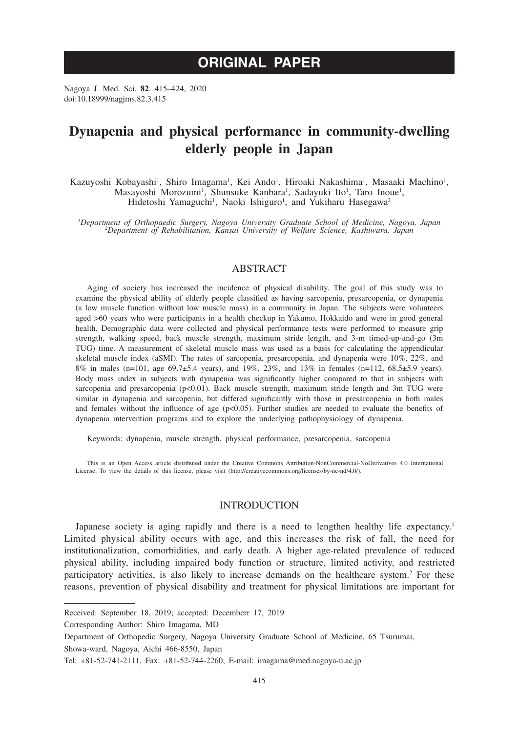# **ORIGINAL PAPER**

Nagoya J. Med. Sci. **82**. 415–424, 2020 doi:10.18999/nagjms.82.3.415

## **Dynapenia and physical performance in community-dwelling elderly people in Japan**

Kazuyoshi Kobayashi<sup>1</sup>, Shiro Imagama<sup>1</sup>, Kei Ando<sup>1</sup>, Hiroaki Nakashima<sup>1</sup>, Masaaki Machino<sup>1</sup>, Masayoshi Morozumi<sup>1</sup>, Shunsuke Kanbara<sup>1</sup>, Sadayuki Ito<sup>1</sup>, Taro Inoue<sup>1</sup>, Hidetoshi Yamaguchi<sup>1</sup>, Naoki Ishiguro<sup>1</sup>, and Yukiharu Hasegawa<sup>2</sup>

*1 Department of Orthopaedic Surgery, Nagoya University Graduate School of Medicine, Nagoya, Japan <sup>2</sup> Department of Rehabilitation, Kansai University of Welfare Science, Kashiwara, Japan*

## ABSTRACT

Aging of society has increased the incidence of physical disability. The goal of this study was to examine the physical ability of elderly people classified as having sarcopenia, presarcopenia, or dynapenia (a low muscle function without low muscle mass) in a community in Japan. The subjects were volunteers aged >60 years who were participants in a health checkup in Yakumo, Hokkaido and were in good general health. Demographic data were collected and physical performance tests were performed to measure grip strength, walking speed, back muscle strength, maximum stride length, and 3-m timed-up-and-go (3m TUG) time. A measurement of skeletal muscle mass was used as a basis for calculating the appendicular skeletal muscle index (aSMI). The rates of sarcopenia, presarcopenia, and dynapenia were 10%, 22%, and 8% in males (n=101, age 69.7 $\pm$ 5.4 years), and 19%, 23%, and 13% in females (n=112, 68.5 $\pm$ 5.9 years). Body mass index in subjects with dynapenia was significantly higher compared to that in subjects with sarcopenia and presarcopenia (p<0.01). Back muscle strength, maximum stride length and 3m TUG were similar in dynapenia and sarcopenia, but differed significantly with those in presarcopenia in both males and females without the influence of age ( $p<0.05$ ). Further studies are needed to evaluate the benefits of dynapenia intervention programs and to explore the underlying pathophysiology of dynapenia.

Keywords: dynapenia, muscle strength, physical performance, presarcopenia, sarcopenia

This is an Open Access article distributed under the Creative Commons Attribution-NonCommercial-NoDerivatives 4.0 International License. To view the details of this license, please visit (http://creativecommons.org/licenses/by-nc-nd/4.0/).

## INTRODUCTION

Japanese society is aging rapidly and there is a need to lengthen healthy life expectancy.<sup>1</sup> Limited physical ability occurs with age, and this increases the risk of fall, the need for institutionalization, comorbidities, and early death. A higher age-related prevalence of reduced physical ability, including impaired body function or structure, limited activity, and restricted participatory activities, is also likely to increase demands on the healthcare system.<sup>2</sup> For these reasons, prevention of physical disability and treatment for physical limitations are important for

Corresponding Author: Shiro Imagama, MD

Received: September 18, 2019; accepted: Decemberr 17, 2019

Department of Orthopedic Surgery, Nagoya University Graduate School of Medicine, 65 Tsurumai,

Showa-ward, Nagoya, Aichi 466-8550, Japan

Tel: +81-52-741-2111, Fax: +81-52-744-2260, E-mail: imagama@med.nagoya-u.ac.jp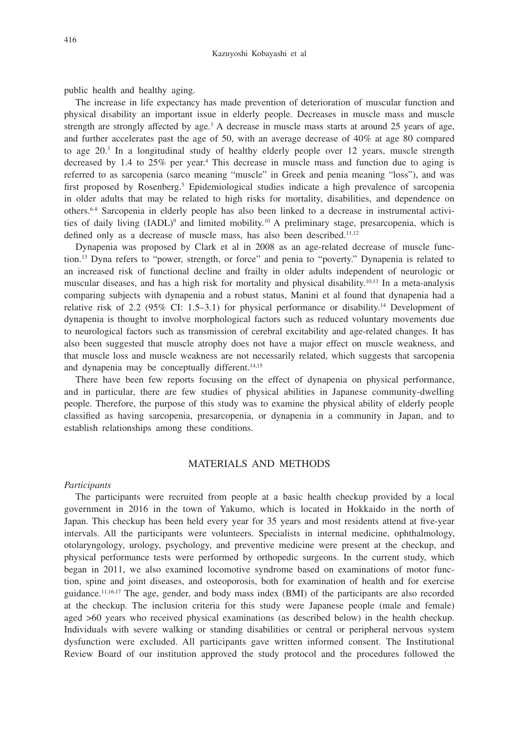public health and healthy aging.

The increase in life expectancy has made prevention of deterioration of muscular function and physical disability an important issue in elderly people. Decreases in muscle mass and muscle strength are strongly affected by age.<sup>3</sup> A decrease in muscle mass starts at around 25 years of age, and further accelerates past the age of 50, with an average decrease of 40% at age 80 compared to age 20.<sup>3</sup> In a longitudinal study of healthy elderly people over 12 years, muscle strength decreased by 1.4 to 25% per year.4 This decrease in muscle mass and function due to aging is referred to as sarcopenia (sarco meaning "muscle" in Greek and penia meaning "loss"), and was first proposed by Rosenberg.<sup>5</sup> Epidemiological studies indicate a high prevalence of sarcopenia in older adults that may be related to high risks for mortality, disabilities, and dependence on others.6-8 Sarcopenia in elderly people has also been linked to a decrease in instrumental activities of daily living (IADL)<sup>9</sup> and limited mobility.<sup>10</sup> A preliminary stage, presarcopenia, which is defined only as a decrease of muscle mass, has also been described.<sup>11,12</sup>

Dynapenia was proposed by Clark et al in 2008 as an age-related decrease of muscle function.13 Dyna refers to "power, strength, or force" and penia to "poverty." Dynapenia is related to an increased risk of functional decline and frailty in older adults independent of neurologic or muscular diseases, and has a high risk for mortality and physical disability.10,13 In a meta-analysis comparing subjects with dynapenia and a robust status, Manini et al found that dynapenia had a relative risk of 2.2 (95% CI: 1.5–3.1) for physical performance or disability.<sup>14</sup> Development of dynapenia is thought to involve morphological factors such as reduced voluntary movements due to neurological factors such as transmission of cerebral excitability and age-related changes. It has also been suggested that muscle atrophy does not have a major effect on muscle weakness, and that muscle loss and muscle weakness are not necessarily related, which suggests that sarcopenia and dynapenia may be conceptually different.<sup>14,15</sup>

There have been few reports focusing on the effect of dynapenia on physical performance, and in particular, there are few studies of physical abilities in Japanese community-dwelling people. Therefore, the purpose of this study was to examine the physical ability of elderly people classified as having sarcopenia, presarcopenia, or dynapenia in a community in Japan, and to establish relationships among these conditions.

## MATERIALS AND METHODS

#### *Participants*

The participants were recruited from people at a basic health checkup provided by a local government in 2016 in the town of Yakumo, which is located in Hokkaido in the north of Japan. This checkup has been held every year for 35 years and most residents attend at five-year intervals. All the participants were volunteers. Specialists in internal medicine, ophthalmology, otolaryngology, urology, psychology, and preventive medicine were present at the checkup, and physical performance tests were performed by orthopedic surgeons. In the current study, which began in 2011, we also examined locomotive syndrome based on examinations of motor function, spine and joint diseases, and osteoporosis, both for examination of health and for exercise guidance.11,16,17 The age, gender, and body mass index (BMI) of the participants are also recorded at the checkup. The inclusion criteria for this study were Japanese people (male and female) aged >60 years who received physical examinations (as described below) in the health checkup. Individuals with severe walking or standing disabilities or central or peripheral nervous system dysfunction were excluded. All participants gave written informed consent. The Institutional Review Board of our institution approved the study protocol and the procedures followed the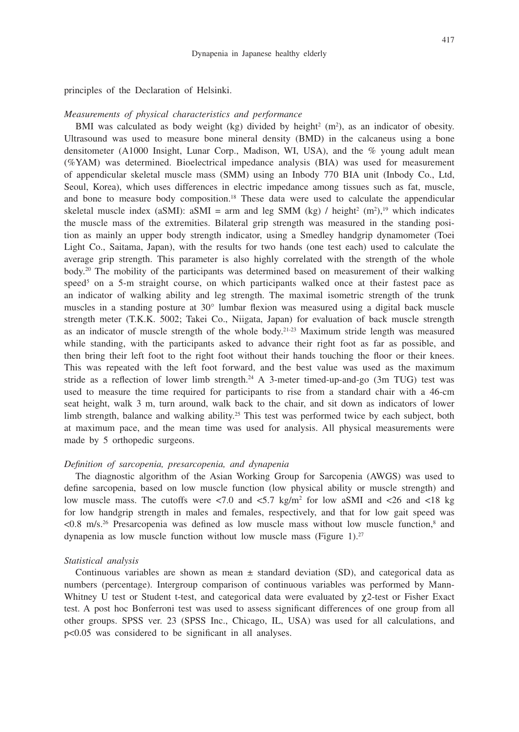principles of the Declaration of Helsinki.

#### *Measurements of physical characteristics and performance*

BMI was calculated as body weight (kg) divided by height<sup>2</sup> ( $m<sup>2</sup>$ ), as an indicator of obesity. Ultrasound was used to measure bone mineral density (BMD) in the calcaneus using a bone densitometer (A1000 Insight, Lunar Corp., Madison, WI, USA), and the % young adult mean (%YAM) was determined. Bioelectrical impedance analysis (BIA) was used for measurement of appendicular skeletal muscle mass (SMM) using an Inbody 770 BIA unit (Inbody Co., Ltd, Seoul, Korea), which uses differences in electric impedance among tissues such as fat, muscle, and bone to measure body composition.18 These data were used to calculate the appendicular skeletal muscle index (aSMI): aSMI = arm and leg SMM (kg) / height<sup>2</sup> (m<sup>2</sup>),<sup>19</sup> which indicates the muscle mass of the extremities. Bilateral grip strength was measured in the standing position as mainly an upper body strength indicator, using a Smedley handgrip dynamometer (Toei Light Co., Saitama, Japan), with the results for two hands (one test each) used to calculate the average grip strength. This parameter is also highly correlated with the strength of the whole body.20 The mobility of the participants was determined based on measurement of their walking speed<sup>5</sup> on a 5-m straight course, on which participants walked once at their fastest pace as an indicator of walking ability and leg strength. The maximal isometric strength of the trunk muscles in a standing posture at 30° lumbar flexion was measured using a digital back muscle strength meter (T.K.K. 5002; Takei Co., Niigata, Japan) for evaluation of back muscle strength as an indicator of muscle strength of the whole body.<sup>21-23</sup> Maximum stride length was measured while standing, with the participants asked to advance their right foot as far as possible, and then bring their left foot to the right foot without their hands touching the floor or their knees. This was repeated with the left foot forward, and the best value was used as the maximum stride as a reflection of lower limb strength.<sup>24</sup> A 3-meter timed-up-and-go (3m TUG) test was used to measure the time required for participants to rise from a standard chair with a 46-cm seat height, walk 3 m, turn around, walk back to the chair, and sit down as indicators of lower limb strength, balance and walking ability.<sup>25</sup> This test was performed twice by each subject, both at maximum pace, and the mean time was used for analysis. All physical measurements were made by 5 orthopedic surgeons.

#### *Definition of sarcopenia, presarcopenia, and dynapenia*

The diagnostic algorithm of the Asian Working Group for Sarcopenia (AWGS) was used to define sarcopenia, based on low muscle function (low physical ability or muscle strength) and low muscle mass. The cutoffs were  $\langle 7.0 \text{ and } \langle 5.7 \text{ kg/m}^2 \rangle$  for low aSMI and  $\langle 26 \text{ and } \langle 18 \text{ kg} \rangle$ for low handgrip strength in males and females, respectively, and that for low gait speed was <0.8 m/s.26 Presarcopenia was defined as low muscle mass without low muscle function,8 and dynapenia as low muscle function without low muscle mass (Figure 1).<sup>27</sup>

#### *Statistical analysis*

Continuous variables are shown as mean  $\pm$  standard deviation (SD), and categorical data as numbers (percentage). Intergroup comparison of continuous variables was performed by Mann-Whitney U test or Student t-test, and categorical data were evaluated by  $\chi$ 2-test or Fisher Exact test. A post hoc Bonferroni test was used to assess significant differences of one group from all other groups. SPSS ver. 23 (SPSS Inc., Chicago, IL, USA) was used for all calculations, and p<0.05 was considered to be significant in all analyses.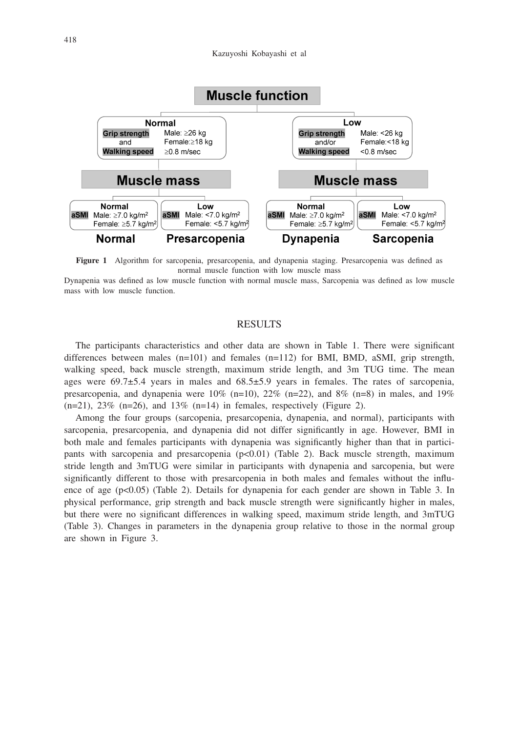

**Figure 1** Algorithm for sarcopenia, presarcopenia, and dynapenia staging. Presarcopenia was defined as normal muscle function with low muscle mass

Dynapenia was defined as low muscle function with normal muscle mass, Sarcopenia was defined as low muscle mass with low muscle function.

#### **RESULTS**

The participants characteristics and other data are shown in Table 1. There were significant differences between males (n=101) and females (n=112) for BMI, BMD, aSMI, grip strength, walking speed, back muscle strength, maximum stride length, and 3m TUG time. The mean ages were 69.7±5.4 years in males and 68.5±5.9 years in females. The rates of sarcopenia, presarcopenia, and dynapenia were  $10\%$  (n=10),  $22\%$  (n=22), and  $8\%$  (n=8) in males, and  $19\%$  $(n=21)$ ,  $23\%$   $(n=26)$ , and  $13\%$   $(n=14)$  in females, respectively (Figure 2).

Among the four groups (sarcopenia, presarcopenia, dynapenia, and normal), participants with sarcopenia, presarcopenia, and dynapenia did not differ significantly in age. However, BMI in both male and females participants with dynapenia was significantly higher than that in participants with sarcopenia and presarcopenia (p<0.01) (Table 2). Back muscle strength, maximum stride length and 3mTUG were similar in participants with dynapenia and sarcopenia, but were significantly different to those with presarcopenia in both males and females without the influence of age (p<0.05) (Table 2). Details for dynapenia for each gender are shown in Table 3. In physical performance, grip strength and back muscle strength were significantly higher in males, but there were no significant differences in walking speed, maximum stride length, and 3mTUG (Table 3). Changes in parameters in the dynapenia group relative to those in the normal group are shown in Figure 3.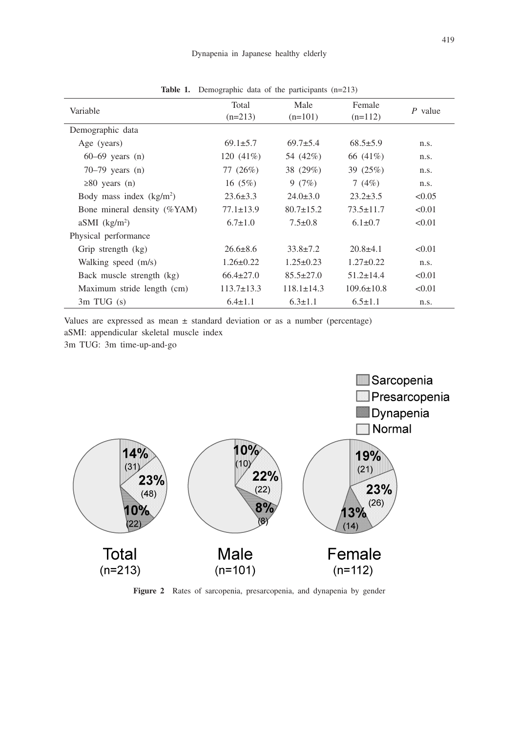| Variable                    | Total            | Male             | Female           | $P$ value |
|-----------------------------|------------------|------------------|------------------|-----------|
|                             | $(n=213)$        | $(n=101)$        | $(n=112)$        |           |
| Demographic data            |                  |                  |                  |           |
| Age (years)                 | $69.1 \pm 5.7$   | $69.7+5.4$       | $68.5 \pm 5.9$   | n.s.      |
| $60-69$ years $(n)$         | 120 $(41\%)$     | 54 (42%)         | 66 (41\%)        | n.s.      |
| $70-79$ years $(n)$         | 77 $(26%)$       | 38 (29%)         | 39 (25%)         | n.s.      |
| $\geq 80$ years (n)         | 16 $(5%)$        | 9(7%)            | 7 $(4%)$         | n.s.      |
| Body mass index $(kg/m2)$   | $23.6 \pm 3.3$   | $24.0 \pm 3.0$   | $23.2 \pm 3.5$   | < 0.05    |
| Bone mineral density (%YAM) | $77.1 \pm 13.9$  | $80.7 \pm 15.2$  | $73.5 \pm 11.7$  | < 0.01    |
| $aSMI$ (kg/m <sup>2</sup> ) | $6.7 \pm 1.0$    | $7.5 \pm 0.8$    | $6.1 \pm 0.7$    | < 0.01    |
| Physical performance        |                  |                  |                  |           |
| Grip strength (kg)          | $26.6 \pm 8.6$   | $33.8 \pm 7.2$   | $20.8 \pm 4.1$   | < 0.01    |
| Walking speed (m/s)         | $1.26 \pm 0.22$  | $1.25 \pm 0.23$  | $1.27 \pm 0.22$  | n.s.      |
| Back muscle strength (kg)   | $66.4 \pm 27.0$  | $85.5 \pm 27.0$  | $51.2 \pm 14.4$  | < 0.01    |
| Maximum stride length (cm)  | $113.7 \pm 13.3$ | $118.1 \pm 14.3$ | $109.6 \pm 10.8$ | < 0.01    |
| $3m$ TUG $(s)$              | $6.4 \pm 1.1$    | $6.3 \pm 1.1$    | $6.5 \pm 1.1$    | n.s.      |

Table 1. Demographic data of the participants (n=213)

Values are expressed as mean  $\pm$  standard deviation or as a number (percentage)

aSMI: appendicular skeletal muscle index

3m TUG: 3m time-up-and-go



**Figure 2** Rates of sarcopenia, presarcopenia, and dynapenia by gender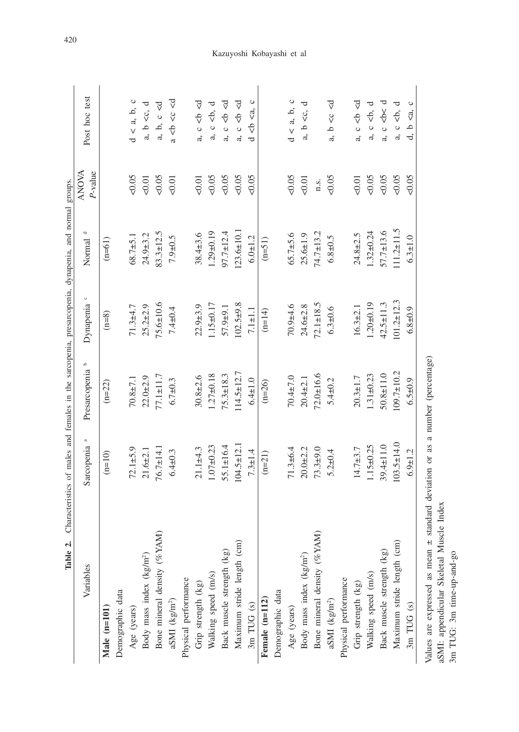| Table 2.                                                                                                |                         | Characteristics of males and females in the sarcopenia, presarcopenia, dynapenia, and normal groups. |                      |                     |                         |                                                                                   |
|---------------------------------------------------------------------------------------------------------|-------------------------|------------------------------------------------------------------------------------------------------|----------------------|---------------------|-------------------------|-----------------------------------------------------------------------------------|
| Variables                                                                                               | Sarcopenia <sup>a</sup> | م<br>Presarcopenia                                                                                   | $\circ$<br>Dynapenia | Normal <sup>d</sup> | <b>ANOVA</b><br>P-value | Post hoc test                                                                     |
| Male (n=101)                                                                                            | $(n=10)$                | $(n=22)$                                                                                             | $(n=8)$              | $(n=61)$            |                         |                                                                                   |
| Demographic data                                                                                        |                         |                                                                                                      |                      |                     |                         |                                                                                   |
| Age (years)                                                                                             | $72.1 + 5.9$            | $70.8 + 7.1$                                                                                         | $71.3 + 4.7$         | $68.7 + 5.1$        | 0.05                    | $d \leq a, b, c$                                                                  |
| Body mass index (kg/m <sup>2</sup> )                                                                    | $21.6 + 2.1$            | $22.0 + 2.9$                                                                                         | $25.2 \pm 2.9$       | $24.9 + 3.2$        | 0.01                    | a, b <c, d<="" td=""></c,>                                                        |
| Bone mineral density (%YAM)                                                                             | $76.7 \pm 14.1$         | $77.1 \pm 11.7$                                                                                      | $75.6 \pm 10.6$      | $83.3 \pm 12.5$     | 0.05                    | a, b, c < d                                                                       |
| aSMI (kg/m <sup>2</sup> )                                                                               | $6.4 + 0.3$             | $6.7 + 0.3$                                                                                          | $7.4 \pm 0.4$        | $7.9 + 0.5$         | 0.01                    | a < b < c < d                                                                     |
| Physical performance                                                                                    |                         |                                                                                                      |                      |                     |                         |                                                                                   |
| Grip strength (kg)                                                                                      | $21.1 + 4.3$            | $30.8 + 2.6$                                                                                         | $22.9 + 3.9$         | 38.4±3.6            | 50.01                   | a, $c < b < d$                                                                    |
| Walking speed (m/s)                                                                                     | $1.07 + 0.23$           | $1.27 + 0.18$                                                                                        | $1.15 \pm 0.17$      | $1.29 + 0.19$       | 0.05                    | a, c <b, d<="" td=""></b,>                                                        |
| Back muscle strength (kg)                                                                               | $55.1 \pm 16.4$         | $5.3 \pm 18.3$                                                                                       | 57.9±9.1             | $97.7 \pm 12.4$     | 0.05                    | a, $c < b < d$                                                                    |
| Maximum stride length (cm)                                                                              | $104.5 \pm 12.1$        | $114.5 \pm 12.7$                                                                                     | $102.5 + 9.8$        | $123.6 \pm 10.1$    | $<0.05$                 | c < b < d<br>a,                                                                   |
| 3m TUG (s)                                                                                              | $7.3 \pm 1.4$           | $6.4 + 1.0$                                                                                          | $7.1 + 1.1$          | $6.0 + 1.2$         | 50.05                   | $\circ$<br>$4 6 6 6 6 6 6 6 6 6 6 6 6 6 6 6 6 6 6 6 6 6 6 6 6 6 6 6 6 6 6 6$<br>d |
| Female (n=112)                                                                                          | $(n=21)$                | $(n=26)$                                                                                             | $(n=14)$             | $(n=51)$            |                         |                                                                                   |
| Demographic data                                                                                        |                         |                                                                                                      |                      |                     |                         |                                                                                   |
| Age (years)                                                                                             | $71.3 + 6.4$            | $70.4 \pm 7.0$                                                                                       | $70.9 + 4.6$         | $65.7 + 5.6$        | 0.05                    | $\langle$ a, b, c<br>d                                                            |
| Body mass index (kg/m <sup>2</sup> )                                                                    | $20.0 + 2.2$            | $20.4 + 2.1$                                                                                         | $24.6 + 2.8$         | $25.6 \pm 1.9$      | $<0.01$                 | $\overline{\phantom{a}}$<br>$a, b \ll c,$                                         |
| Bone mineral density (%YAM)                                                                             | $73.3 + 9.0$            | $72.0 \pm 16.6$                                                                                      | $72.1 \pm 18.5$      | $74.7 \pm 13.2$     | n.s.                    |                                                                                   |
| aSMI $({\rm kg/m^2})$                                                                                   | $5.2 \pm 0.4$           | $5.4 + 0.2$                                                                                          | $6.3 + 0.6$          | $6.8 + 0.5$         | 50.05                   | b <c <d<br="">a,</c>                                                              |
| Physical performance                                                                                    |                         |                                                                                                      |                      |                     |                         |                                                                                   |
| Grip strength (kg)                                                                                      | $14.7 + 3.7$            | $20.3 \pm 1.7$                                                                                       | $16.3 \pm 2.1$       | $24.8 \pm 2.5$      | 50.01                   | a, $c < b < d$                                                                    |
| Walking speed (m/s)                                                                                     | $1.15 \pm 0.25$         | $1.31 \pm 0.23$                                                                                      | $1.20 + 0.19$        | $1.32 \pm 0.24$     | 0.05                    | a, $c < b$ , d                                                                    |
| Back muscle strength (kg)                                                                               | 39.4±11.0               | $50.8 \pm 11.0$                                                                                      | $42.5 \pm 11.3$      | $57.7 \pm 13.6$     | $<0.05$                 | $\epsilon$<br>$\frac{1}{2}$<br>a,                                                 |
| Maximum stride length (cm)                                                                              | $103.5 \pm 14.0$        | $109.7 \pm 10.2$                                                                                     | $101.2 \pm 12.3$     | $11.2 \pm 11.5$     | $<0.05$                 | $\overline{\phantom{a}}$<br>$c \leq b$ ,<br>a,                                    |
| 3m TUG (s)                                                                                              | $6.9 + 1.2$             | $6.5 + 0.9$                                                                                          | $6.8 + 0.9$          | $6.3 + 1.0$         | 0.05                    | <a, c<br="">م<br/>ಕ</a,>                                                          |
| aSMI: appendicular Skeletal Muscle Index<br>Values are expressed as mean ±<br>3m TUG: 3m time-up-and-go |                         | standard deviation or as a number (percentage)                                                       |                      |                     |                         |                                                                                   |

420

## Kazuyoshi Kobayashi et al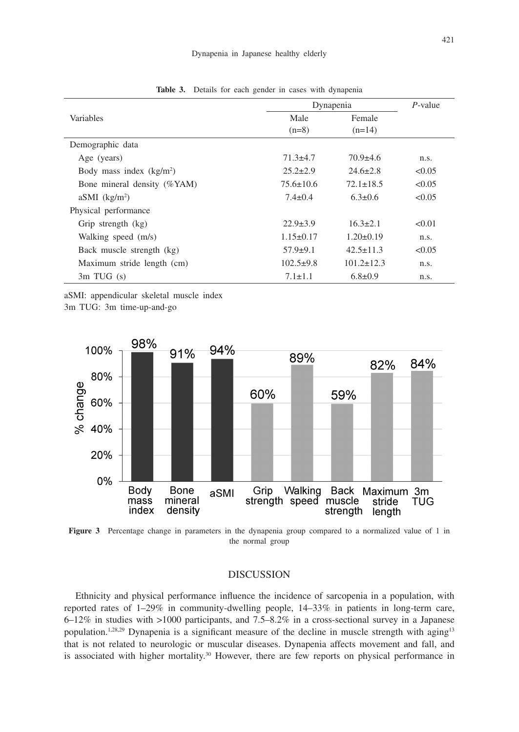|                             | Dynapenia       |                  | $P$ -value |
|-----------------------------|-----------------|------------------|------------|
| Variables                   | Male            | Female           |            |
|                             | $(n=8)$         | $(n=14)$         |            |
| Demographic data            |                 |                  |            |
| Age (years)                 | $71.3 + 4.7$    | $70.9 \pm 4.6$   | n.s.       |
| Body mass index $(kg/m2)$   | $25.2 \pm 2.9$  | $24.6 \pm 2.8$   | < 0.05     |
| Bone mineral density (%YAM) | $75.6 \pm 10.6$ | $72.1 \pm 18.5$  | < 0.05     |
| $aSMI$ (kg/m <sup>2</sup> ) | $7.4 \pm 0.4$   | $6.3 \pm 0.6$    | < 0.05     |
| Physical performance        |                 |                  |            |
| Grip strength (kg)          | $22.9 \pm 3.9$  | $16.3 \pm 2.1$   | < 0.01     |
| Walking speed (m/s)         | $1.15 \pm 0.17$ | $1.20 \pm 0.19$  | n.s.       |
| Back muscle strength (kg)   | $57.9 \pm 9.1$  | $42.5 \pm 11.3$  | < 0.05     |
| Maximum stride length (cm)  | $102.5+9.8$     | $101.2 \pm 12.3$ | n.s.       |
| $3m$ TUG $(s)$              | $7.1 \pm 1.1$   | $6.8 \pm 0.9$    | n.s.       |

**Table 3.** Details for each gender in cases with dynapenia

aSMI: appendicular skeletal muscle index

3m TUG: 3m time-up-and-go



**Figure 3** Percentage change in parameters in the dynapenia group compared to a normalized value of 1 in the normal group

#### DISCUSSION

Ethnicity and physical performance influence the incidence of sarcopenia in a population, with reported rates of 1–29% in community-dwelling people, 14–33% in patients in long-term care, 6–12% in studies with >1000 participants, and 7.5–8.2% in a cross-sectional survey in a Japanese population.<sup>1,28,29</sup> Dynapenia is a significant measure of the decline in muscle strength with aging<sup>13</sup> that is not related to neurologic or muscular diseases. Dynapenia affects movement and fall, and is associated with higher mortality.<sup>30</sup> However, there are few reports on physical performance in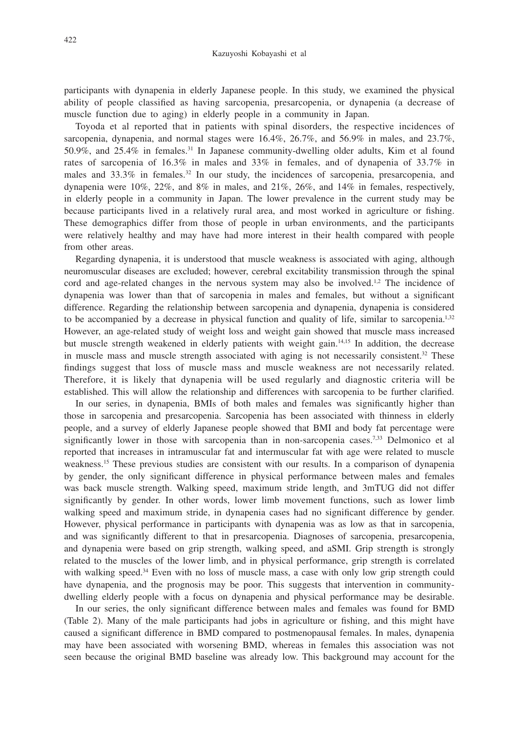participants with dynapenia in elderly Japanese people. In this study, we examined the physical ability of people classified as having sarcopenia, presarcopenia, or dynapenia (a decrease of muscle function due to aging) in elderly people in a community in Japan.

Toyoda et al reported that in patients with spinal disorders, the respective incidences of sarcopenia, dynapenia, and normal stages were 16.4%, 26.7%, and 56.9% in males, and 23.7%, 50.9%, and 25.4% in females.31 In Japanese community-dwelling older adults, Kim et al found rates of sarcopenia of 16.3% in males and 33% in females, and of dynapenia of 33.7% in males and 33.3% in females.<sup>32</sup> In our study, the incidences of sarcopenia, presarcopenia, and dynapenia were  $10\%$ ,  $22\%$ , and  $8\%$  in males, and  $21\%$ ,  $26\%$ , and  $14\%$  in females, respectively, in elderly people in a community in Japan. The lower prevalence in the current study may be because participants lived in a relatively rural area, and most worked in agriculture or fishing. These demographics differ from those of people in urban environments, and the participants were relatively healthy and may have had more interest in their health compared with people from other areas.

Regarding dynapenia, it is understood that muscle weakness is associated with aging, although neuromuscular diseases are excluded; however, cerebral excitability transmission through the spinal cord and age-related changes in the nervous system may also be involved.<sup>1,2</sup> The incidence of dynapenia was lower than that of sarcopenia in males and females, but without a significant difference. Regarding the relationship between sarcopenia and dynapenia, dynapenia is considered to be accompanied by a decrease in physical function and quality of life, similar to sarcopenia.<sup>1,32</sup> However, an age-related study of weight loss and weight gain showed that muscle mass increased but muscle strength weakened in elderly patients with weight gain.14,15 In addition, the decrease in muscle mass and muscle strength associated with aging is not necessarily consistent.<sup>32</sup> These findings suggest that loss of muscle mass and muscle weakness are not necessarily related. Therefore, it is likely that dynapenia will be used regularly and diagnostic criteria will be established. This will allow the relationship and differences with sarcopenia to be further clarified.

In our series, in dynapenia, BMIs of both males and females was significantly higher than those in sarcopenia and presarcopenia. Sarcopenia has been associated with thinness in elderly people, and a survey of elderly Japanese people showed that BMI and body fat percentage were significantly lower in those with sarcopenia than in non-sarcopenia cases.<sup>7,33</sup> Delmonico et al reported that increases in intramuscular fat and intermuscular fat with age were related to muscle weakness.15 These previous studies are consistent with our results. In a comparison of dynapenia by gender, the only significant difference in physical performance between males and females was back muscle strength. Walking speed, maximum stride length, and 3mTUG did not differ significantly by gender. In other words, lower limb movement functions, such as lower limb walking speed and maximum stride, in dynapenia cases had no significant difference by gender. However, physical performance in participants with dynapenia was as low as that in sarcopenia, and was significantly different to that in presarcopenia. Diagnoses of sarcopenia, presarcopenia, and dynapenia were based on grip strength, walking speed, and aSMI. Grip strength is strongly related to the muscles of the lower limb, and in physical performance, grip strength is correlated with walking speed.<sup>34</sup> Even with no loss of muscle mass, a case with only low grip strength could have dynapenia, and the prognosis may be poor. This suggests that intervention in communitydwelling elderly people with a focus on dynapenia and physical performance may be desirable.

In our series, the only significant difference between males and females was found for BMD (Table 2). Many of the male participants had jobs in agriculture or fishing, and this might have caused a significant difference in BMD compared to postmenopausal females. In males, dynapenia may have been associated with worsening BMD, whereas in females this association was not seen because the original BMD baseline was already low. This background may account for the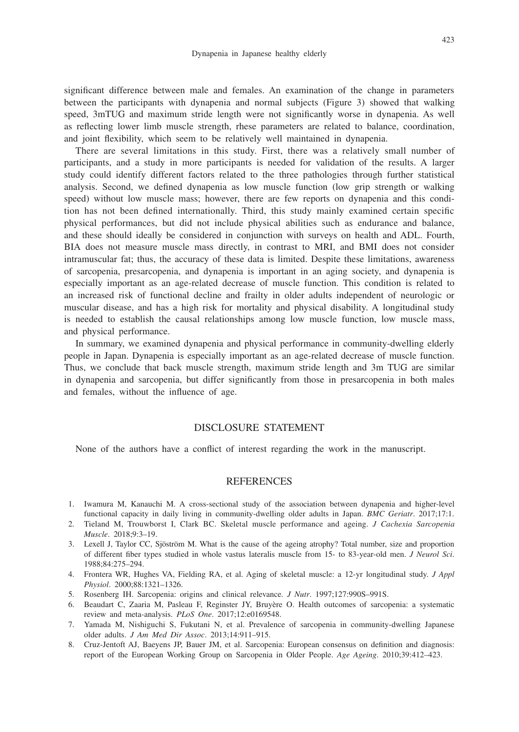significant difference between male and females. An examination of the change in parameters between the participants with dynapenia and normal subjects (Figure 3) showed that walking speed, 3mTUG and maximum stride length were not significantly worse in dynapenia. As well as reflecting lower limb muscle strength, rhese parameters are related to balance, coordination, and joint flexibility, which seem to be relatively well maintained in dynapenia.

There are several limitations in this study. First, there was a relatively small number of participants, and a study in more participants is needed for validation of the results. A larger study could identify different factors related to the three pathologies through further statistical analysis. Second, we defined dynapenia as low muscle function (low grip strength or walking speed) without low muscle mass; however, there are few reports on dynapenia and this condition has not been defined internationally. Third, this study mainly examined certain specific physical performances, but did not include physical abilities such as endurance and balance, and these should ideally be considered in conjunction with surveys on health and ADL. Fourth, BIA does not measure muscle mass directly, in contrast to MRI, and BMI does not consider intramuscular fat; thus, the accuracy of these data is limited. Despite these limitations, awareness of sarcopenia, presarcopenia, and dynapenia is important in an aging society, and dynapenia is especially important as an age-related decrease of muscle function. This condition is related to an increased risk of functional decline and frailty in older adults independent of neurologic or muscular disease, and has a high risk for mortality and physical disability. A longitudinal study is needed to establish the causal relationships among low muscle function, low muscle mass, and physical performance.

In summary, we examined dynapenia and physical performance in community-dwelling elderly people in Japan. Dynapenia is especially important as an age-related decrease of muscle function. Thus, we conclude that back muscle strength, maximum stride length and 3m TUG are similar in dynapenia and sarcopenia, but differ significantly from those in presarcopenia in both males and females, without the influence of age.

#### DISCLOSURE STATEMENT

None of the authors have a conflict of interest regarding the work in the manuscript.

#### **REFERENCES**

- 1. Iwamura M, Kanauchi M. A cross-sectional study of the association between dynapenia and higher-level functional capacity in daily living in community-dwelling older adults in Japan. *BMC Geriatr*. 2017;17:1.
- 2. Tieland M, Trouwborst I, Clark BC. Skeletal muscle performance and ageing. *J Cachexia Sarcopenia Muscle*. 2018;9:3–19.
- 3. Lexell J, Taylor CC, Sjöström M. What is the cause of the ageing atrophy? Total number, size and proportion of different fiber types studied in whole vastus lateralis muscle from 15- to 83-year-old men. *J Neurol Sci*. 1988;84:275–294.
- 4. Frontera WR, Hughes VA, Fielding RA, et al. Aging of skeletal muscle: a 12-yr longitudinal study. *J Appl Physiol*. 2000;88:1321–1326.
- 5. Rosenberg IH. Sarcopenia: origins and clinical relevance. *J Nutr*. 1997;127:990S–991S.
- 6. Beaudart C, Zaaria M, Pasleau F, Reginster JY, Bruyère O. Health outcomes of sarcopenia: a systematic review and meta-analysis. *PLoS One*. 2017;12:e0169548.
- 7. Yamada M, Nishiguchi S, Fukutani N, et al. Prevalence of sarcopenia in community-dwelling Japanese older adults. *J Am Med Dir Assoc*. 2013;14:911–915.
- 8. Cruz-Jentoft AJ, Baeyens JP, Bauer JM, et al. Sarcopenia: European consensus on definition and diagnosis: report of the European Working Group on Sarcopenia in Older People. *Age Ageing*. 2010;39:412–423.